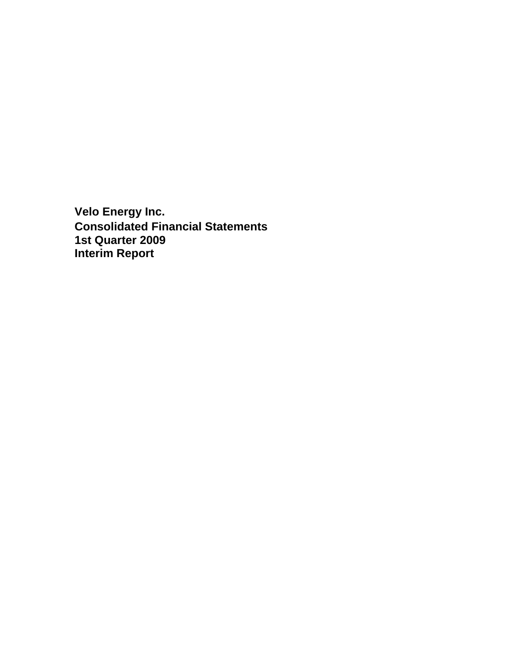**Velo Energy Inc. Consolidated Financial Statements 1st Quarter 2009 Interim Report**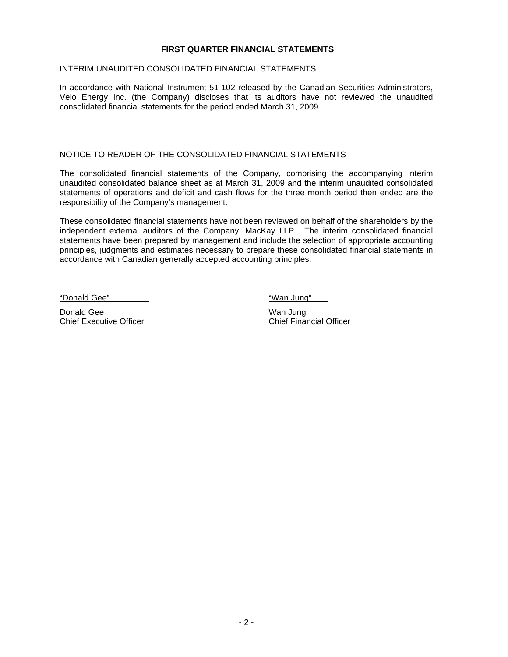#### **FIRST QUARTER FINANCIAL STATEMENTS**

#### INTERIM UNAUDITED CONSOLIDATED FINANCIAL STATEMENTS

In accordance with National Instrument 51-102 released by the Canadian Securities Administrators, Velo Energy Inc. (the Company) discloses that its auditors have not reviewed the unaudited consolidated financial statements for the period ended March 31, 2009.

#### NOTICE TO READER OF THE CONSOLIDATED FINANCIAL STATEMENTS

The consolidated financial statements of the Company, comprising the accompanying interim unaudited consolidated balance sheet as at March 31, 2009 and the interim unaudited consolidated statements of operations and deficit and cash flows for the three month period then ended are the responsibility of the Company's management.

These consolidated financial statements have not been reviewed on behalf of the shareholders by the independent external auditors of the Company, MacKay LLP. The interim consolidated financial statements have been prepared by management and include the selection of appropriate accounting principles, judgments and estimates necessary to prepare these consolidated financial statements in accordance with Canadian generally accepted accounting principles.

"Donald Gee" "Wan Jung"

Donald Gee<br>
Chief Executive Officer<br>
Chief Financial Officer **Chief Executive Officer**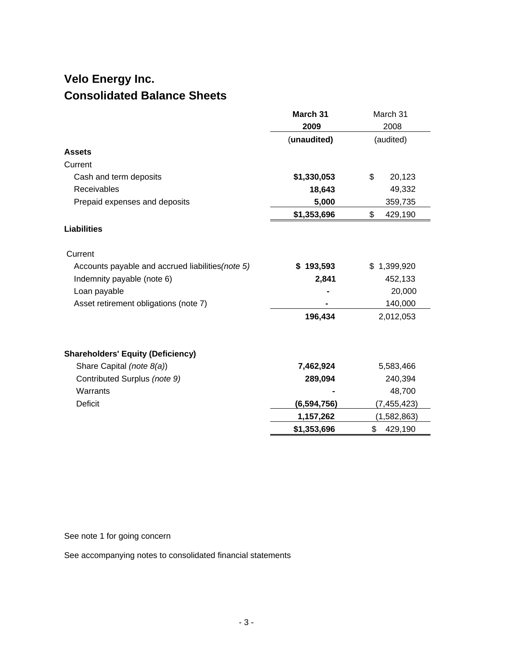# **Velo Energy Inc. Consolidated Balance Sheets**

|                                                   | March 31      | March 31      |
|---------------------------------------------------|---------------|---------------|
|                                                   | 2009          | 2008          |
|                                                   | (unaudited)   | (audited)     |
| <b>Assets</b>                                     |               |               |
| Current                                           |               |               |
| Cash and term deposits                            | \$1,330,053   | \$<br>20,123  |
| Receivables                                       | 18,643        | 49,332        |
| Prepaid expenses and deposits                     | 5,000         | 359,735       |
|                                                   | \$1,353,696   | \$<br>429,190 |
| <b>Liabilities</b>                                |               |               |
| Current                                           |               |               |
| Accounts payable and accrued liabilities (note 5) | \$193,593     | \$1,399,920   |
| Indemnity payable (note 6)                        | 2,841         | 452,133       |
| Loan payable                                      |               | 20,000        |
| Asset retirement obligations (note 7)             |               | 140,000       |
|                                                   | 196,434       | 2,012,053     |
| <b>Shareholders' Equity (Deficiency)</b>          |               |               |
| Share Capital (note 8(a))                         | 7,462,924     | 5,583,466     |
| Contributed Surplus (note 9)                      | 289,094       | 240,394       |
| Warrants                                          |               | 48,700        |
| <b>Deficit</b>                                    | (6, 594, 756) | (7, 455, 423) |
|                                                   | 1,157,262     | (1,582,863)   |
|                                                   | \$1,353,696   | \$<br>429,190 |

See note 1 for going concern

See accompanying notes to consolidated financial statements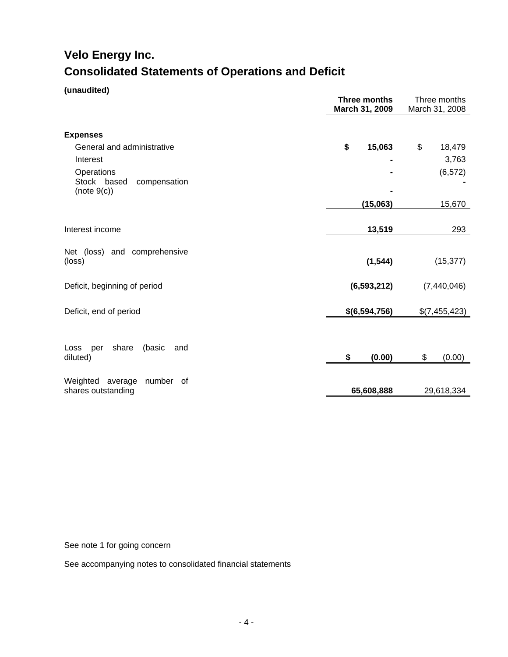# **Velo Energy Inc. Consolidated Statements of Operations and Deficit**

### **(unaudited)**

|                                                     | Three months<br>March 31, 2009 | Three months<br>March 31, 2008 |  |  |
|-----------------------------------------------------|--------------------------------|--------------------------------|--|--|
| <b>Expenses</b>                                     |                                |                                |  |  |
| General and administrative                          | \$<br>15,063                   | \$<br>18,479                   |  |  |
| Interest                                            |                                | 3,763                          |  |  |
| Operations                                          |                                | (6, 572)                       |  |  |
| Stock based<br>compensation<br>(note 9(c))          |                                |                                |  |  |
|                                                     | (15,063)                       | 15,670                         |  |  |
|                                                     |                                |                                |  |  |
| Interest income                                     | 13,519                         | 293                            |  |  |
| Net (loss) and comprehensive<br>(loss)              | (1, 544)                       | (15, 377)                      |  |  |
| Deficit, beginning of period                        | (6, 593, 212)                  | (7,440,046)                    |  |  |
| Deficit, end of period                              | \$(6,594,756)                  | \$(7,455,423)                  |  |  |
| Loss<br>share<br>(basic<br>per<br>and<br>diluted)   | (0.00)<br>\$                   | \$<br>(0.00)                   |  |  |
| Weighted average<br>number of<br>shares outstanding | 65,608,888                     | 29,618,334                     |  |  |

See note 1 for going concern

See accompanying notes to consolidated financial statements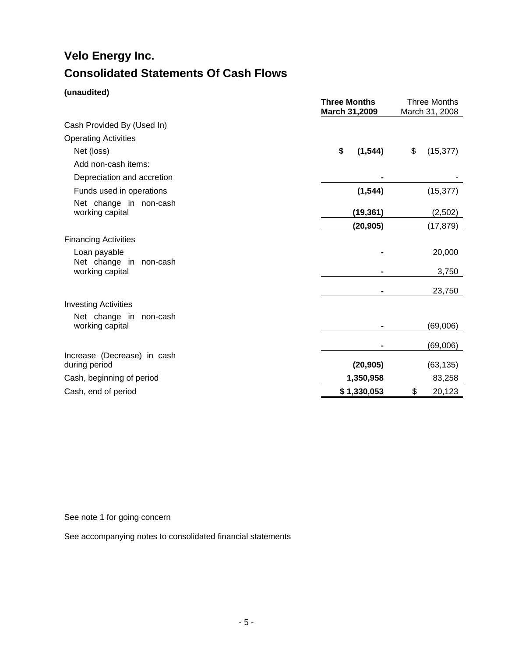# **Velo Energy Inc. Consolidated Statements Of Cash Flows**

### **(unaudited)**

| Cash Provided By (Used In)<br>\$<br>\$<br>Net (loss)<br>(1, 544)<br>(15, 377)<br>Add non-cash items:<br>Depreciation and accretion<br>(1, 544)<br>(15, 377)<br>Funds used in operations<br>Net change in non-cash<br>(19, 361)<br>working capital<br>(2,502)<br>(20, 905)<br>(17, 879)<br>20,000<br>Loan payable<br>Net change in non-cash<br>working capital<br>3,750<br>23,750<br><b>Investing Activities</b><br>Net change in non-cash<br>working capital<br>(69,006)<br>(69,006)<br>Increase (Decrease) in cash<br>(63, 135)<br>(20, 905)<br>1,350,958<br>83,258<br>\$1,330,053<br>\$<br>20,123 |                             | <b>Three Months</b><br>March 31,2009 | <b>Three Months</b><br>March 31, 2008 |
|-----------------------------------------------------------------------------------------------------------------------------------------------------------------------------------------------------------------------------------------------------------------------------------------------------------------------------------------------------------------------------------------------------------------------------------------------------------------------------------------------------------------------------------------------------------------------------------------------------|-----------------------------|--------------------------------------|---------------------------------------|
|                                                                                                                                                                                                                                                                                                                                                                                                                                                                                                                                                                                                     |                             |                                      |                                       |
|                                                                                                                                                                                                                                                                                                                                                                                                                                                                                                                                                                                                     | <b>Operating Activities</b> |                                      |                                       |
|                                                                                                                                                                                                                                                                                                                                                                                                                                                                                                                                                                                                     |                             |                                      |                                       |
|                                                                                                                                                                                                                                                                                                                                                                                                                                                                                                                                                                                                     |                             |                                      |                                       |
|                                                                                                                                                                                                                                                                                                                                                                                                                                                                                                                                                                                                     |                             |                                      |                                       |
|                                                                                                                                                                                                                                                                                                                                                                                                                                                                                                                                                                                                     |                             |                                      |                                       |
|                                                                                                                                                                                                                                                                                                                                                                                                                                                                                                                                                                                                     |                             |                                      |                                       |
|                                                                                                                                                                                                                                                                                                                                                                                                                                                                                                                                                                                                     |                             |                                      |                                       |
|                                                                                                                                                                                                                                                                                                                                                                                                                                                                                                                                                                                                     | <b>Financing Activities</b> |                                      |                                       |
|                                                                                                                                                                                                                                                                                                                                                                                                                                                                                                                                                                                                     |                             |                                      |                                       |
|                                                                                                                                                                                                                                                                                                                                                                                                                                                                                                                                                                                                     |                             |                                      |                                       |
|                                                                                                                                                                                                                                                                                                                                                                                                                                                                                                                                                                                                     |                             |                                      |                                       |
|                                                                                                                                                                                                                                                                                                                                                                                                                                                                                                                                                                                                     |                             |                                      |                                       |
|                                                                                                                                                                                                                                                                                                                                                                                                                                                                                                                                                                                                     |                             |                                      |                                       |
|                                                                                                                                                                                                                                                                                                                                                                                                                                                                                                                                                                                                     |                             |                                      |                                       |
|                                                                                                                                                                                                                                                                                                                                                                                                                                                                                                                                                                                                     | during period               |                                      |                                       |
|                                                                                                                                                                                                                                                                                                                                                                                                                                                                                                                                                                                                     | Cash, beginning of period   |                                      |                                       |
|                                                                                                                                                                                                                                                                                                                                                                                                                                                                                                                                                                                                     | Cash, end of period         |                                      |                                       |

See note 1 for going concern

See accompanying notes to consolidated financial statements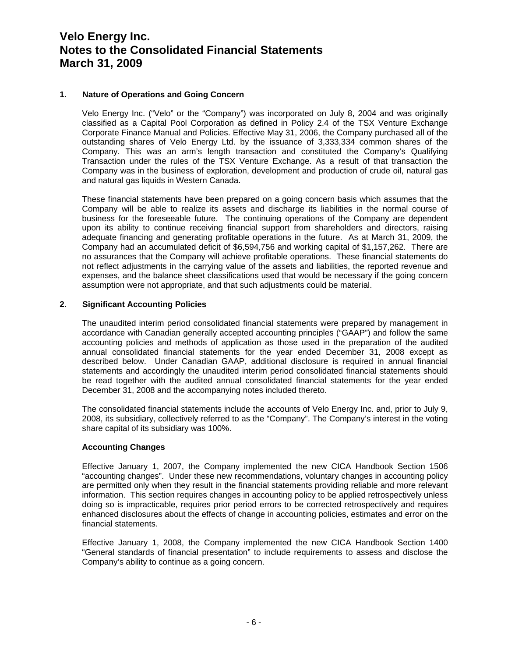#### **1. Nature of Operations and Going Concern**

Velo Energy Inc. ("Velo" or the "Company") was incorporated on July 8, 2004 and was originally classified as a Capital Pool Corporation as defined in Policy 2.4 of the TSX Venture Exchange Corporate Finance Manual and Policies. Effective May 31, 2006, the Company purchased all of the outstanding shares of Velo Energy Ltd. by the issuance of 3,333,334 common shares of the Company. This was an arm's length transaction and constituted the Company's Qualifying Transaction under the rules of the TSX Venture Exchange. As a result of that transaction the Company was in the business of exploration, development and production of crude oil, natural gas and natural gas liquids in Western Canada.

These financial statements have been prepared on a going concern basis which assumes that the Company will be able to realize its assets and discharge its liabilities in the normal course of business for the foreseeable future. The continuing operations of the Company are dependent upon its ability to continue receiving financial support from shareholders and directors, raising adequate financing and generating profitable operations in the future. As at March 31, 2009, the Company had an accumulated deficit of \$6,594,756 and working capital of \$1,157,262. There are no assurances that the Company will achieve profitable operations. These financial statements do not reflect adjustments in the carrying value of the assets and liabilities, the reported revenue and expenses, and the balance sheet classifications used that would be necessary if the going concern assumption were not appropriate, and that such adjustments could be material.

#### **2. Significant Accounting Policies**

The unaudited interim period consolidated financial statements were prepared by management in accordance with Canadian generally accepted accounting principles ("GAAP") and follow the same accounting policies and methods of application as those used in the preparation of the audited annual consolidated financial statements for the year ended December 31, 2008 except as described below. Under Canadian GAAP, additional disclosure is required in annual financial statements and accordingly the unaudited interim period consolidated financial statements should be read together with the audited annual consolidated financial statements for the year ended December 31, 2008 and the accompanying notes included thereto.

The consolidated financial statements include the accounts of Velo Energy Inc. and, prior to July 9, 2008, its subsidiary, collectively referred to as the "Company". The Company's interest in the voting share capital of its subsidiary was 100%.

#### **Accounting Changes**

Effective January 1, 2007, the Company implemented the new CICA Handbook Section 1506 "accounting changes". Under these new recommendations, voluntary changes in accounting policy are permitted only when they result in the financial statements providing reliable and more relevant information. This section requires changes in accounting policy to be applied retrospectively unless doing so is impracticable, requires prior period errors to be corrected retrospectively and requires enhanced disclosures about the effects of change in accounting policies, estimates and error on the financial statements.

Effective January 1, 2008, the Company implemented the new CICA Handbook Section 1400 "General standards of financial presentation" to include requirements to assess and disclose the Company's ability to continue as a going concern.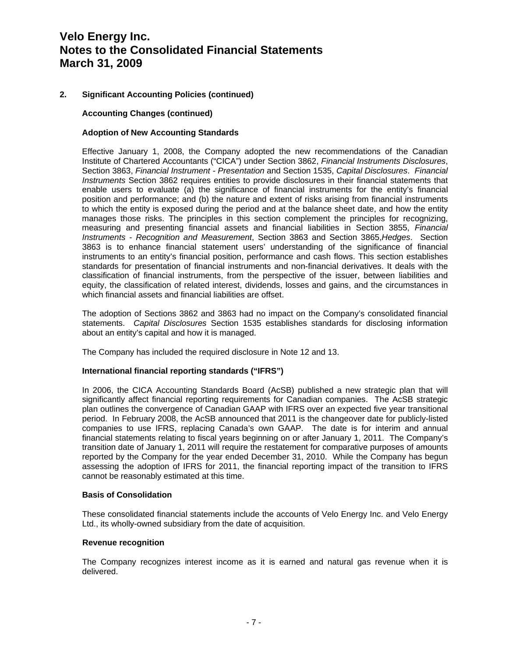#### **2. Significant Accounting Policies (continued)**

#### **Accounting Changes (continued)**

#### **Adoption of New Accounting Standards**

Effective January 1, 2008, the Company adopted the new recommendations of the Canadian Institute of Chartered Accountants ("CICA") under Section 3862, *Financial Instruments Disclosures*, Section 3863, *Financial Instrument - Presentation* and Section 1535, *Capital Disclosures*. *Financial Instruments* Section 3862 requires entities to provide disclosures in their financial statements that enable users to evaluate (a) the significance of financial instruments for the entity's financial position and performance; and (b) the nature and extent of risks arising from financial instruments to which the entity is exposed during the period and at the balance sheet date, and how the entity manages those risks. The principles in this section complement the principles for recognizing, measuring and presenting financial assets and financial liabilities in Section 3855, *Financial Instruments - Recognition and Measurement*, Section 3863 and Section 3865,*Hedges*. Section 3863 is to enhance financial statement users' understanding of the significance of financial instruments to an entity's financial position, performance and cash flows. This section establishes standards for presentation of financial instruments and non-financial derivatives. It deals with the classification of financial instruments, from the perspective of the issuer, between liabilities and equity, the classification of related interest, dividends, losses and gains, and the circumstances in which financial assets and financial liabilities are offset.

The adoption of Sections 3862 and 3863 had no impact on the Company's consolidated financial statements. *Capital Disclosures* Section 1535 establishes standards for disclosing information about an entity's capital and how it is managed.

The Company has included the required disclosure in Note 12 and 13.

#### **International financial reporting standards ("IFRS")**

In 2006, the CICA Accounting Standards Board (AcSB) published a new strategic plan that will significantly affect financial reporting requirements for Canadian companies. The AcSB strategic plan outlines the convergence of Canadian GAAP with IFRS over an expected five year transitional period. In February 2008, the AcSB announced that 2011 is the changeover date for publicly-listed companies to use IFRS, replacing Canada's own GAAP. The date is for interim and annual financial statements relating to fiscal years beginning on or after January 1, 2011. The Company's transition date of January 1, 2011 will require the restatement for comparative purposes of amounts reported by the Company for the year ended December 31, 2010. While the Company has begun assessing the adoption of IFRS for 2011, the financial reporting impact of the transition to IFRS cannot be reasonably estimated at this time.

#### **Basis of Consolidation**

These consolidated financial statements include the accounts of Velo Energy Inc. and Velo Energy Ltd., its wholly-owned subsidiary from the date of acquisition.

#### **Revenue recognition**

The Company recognizes interest income as it is earned and natural gas revenue when it is delivered.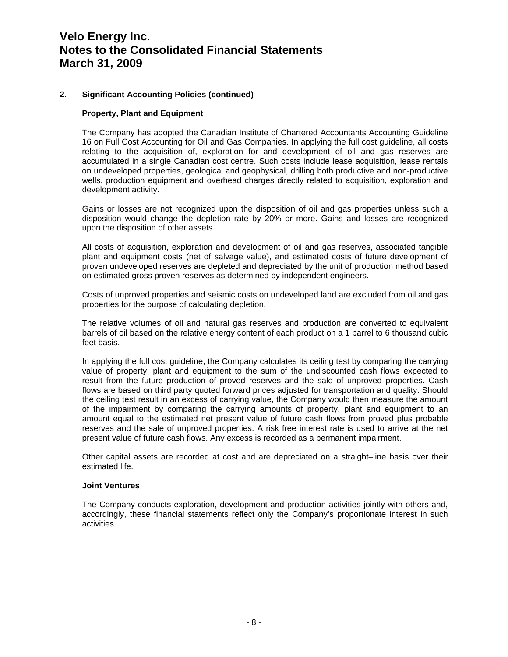#### **2. Significant Accounting Policies (continued)**

#### **Property, Plant and Equipment**

The Company has adopted the Canadian Institute of Chartered Accountants Accounting Guideline 16 on Full Cost Accounting for Oil and Gas Companies. In applying the full cost guideline, all costs relating to the acquisition of, exploration for and development of oil and gas reserves are accumulated in a single Canadian cost centre. Such costs include lease acquisition, lease rentals on undeveloped properties, geological and geophysical, drilling both productive and non-productive wells, production equipment and overhead charges directly related to acquisition, exploration and development activity.

Gains or losses are not recognized upon the disposition of oil and gas properties unless such a disposition would change the depletion rate by 20% or more. Gains and losses are recognized upon the disposition of other assets.

All costs of acquisition, exploration and development of oil and gas reserves, associated tangible plant and equipment costs (net of salvage value), and estimated costs of future development of proven undeveloped reserves are depleted and depreciated by the unit of production method based on estimated gross proven reserves as determined by independent engineers.

Costs of unproved properties and seismic costs on undeveloped land are excluded from oil and gas properties for the purpose of calculating depletion.

The relative volumes of oil and natural gas reserves and production are converted to equivalent barrels of oil based on the relative energy content of each product on a 1 barrel to 6 thousand cubic feet basis.

In applying the full cost guideline, the Company calculates its ceiling test by comparing the carrying value of property, plant and equipment to the sum of the undiscounted cash flows expected to result from the future production of proved reserves and the sale of unproved properties. Cash flows are based on third party quoted forward prices adjusted for transportation and quality. Should the ceiling test result in an excess of carrying value, the Company would then measure the amount of the impairment by comparing the carrying amounts of property, plant and equipment to an amount equal to the estimated net present value of future cash flows from proved plus probable reserves and the sale of unproved properties. A risk free interest rate is used to arrive at the net present value of future cash flows. Any excess is recorded as a permanent impairment.

Other capital assets are recorded at cost and are depreciated on a straight–line basis over their estimated life.

#### **Joint Ventures**

The Company conducts exploration, development and production activities jointly with others and, accordingly, these financial statements reflect only the Company's proportionate interest in such activities.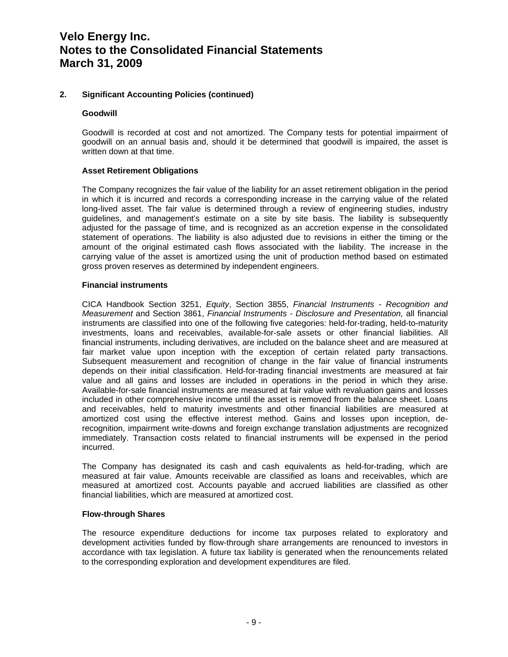#### **2. Significant Accounting Policies (continued)**

#### **Goodwill**

Goodwill is recorded at cost and not amortized. The Company tests for potential impairment of goodwill on an annual basis and, should it be determined that goodwill is impaired, the asset is written down at that time.

#### **Asset Retirement Obligations**

The Company recognizes the fair value of the liability for an asset retirement obligation in the period in which it is incurred and records a corresponding increase in the carrying value of the related long-lived asset. The fair value is determined through a review of engineering studies, industry guidelines, and management's estimate on a site by site basis. The liability is subsequently adjusted for the passage of time, and is recognized as an accretion expense in the consolidated statement of operations. The liability is also adjusted due to revisions in either the timing or the amount of the original estimated cash flows associated with the liability. The increase in the carrying value of the asset is amortized using the unit of production method based on estimated gross proven reserves as determined by independent engineers.

#### **Financial instruments**

CICA Handbook Section 3251, *Equity*, Section 3855, *Financial Instruments - Recognition and Measurement* and Section 3861, *Financial Instruments - Disclosure and Presentation,* all financial instruments are classified into one of the following five categories: held-for-trading, held-to-maturity investments, loans and receivables, available-for-sale assets or other financial liabilities. All financial instruments, including derivatives, are included on the balance sheet and are measured at fair market value upon inception with the exception of certain related party transactions. Subsequent measurement and recognition of change in the fair value of financial instruments depends on their initial classification. Held-for-trading financial investments are measured at fair value and all gains and losses are included in operations in the period in which they arise. Available-for-sale financial instruments are measured at fair value with revaluation gains and losses included in other comprehensive income until the asset is removed from the balance sheet. Loans and receivables, held to maturity investments and other financial liabilities are measured at amortized cost using the effective interest method. Gains and losses upon inception, derecognition, impairment write-downs and foreign exchange translation adjustments are recognized immediately. Transaction costs related to financial instruments will be expensed in the period incurred.

The Company has designated its cash and cash equivalents as held-for-trading, which are measured at fair value. Amounts receivable are classified as loans and receivables, which are measured at amortized cost. Accounts payable and accrued liabilities are classified as other financial liabilities, which are measured at amortized cost.

#### **Flow-through Shares**

The resource expenditure deductions for income tax purposes related to exploratory and development activities funded by flow-through share arrangements are renounced to investors in accordance with tax legislation. A future tax liability is generated when the renouncements related to the corresponding exploration and development expenditures are filed.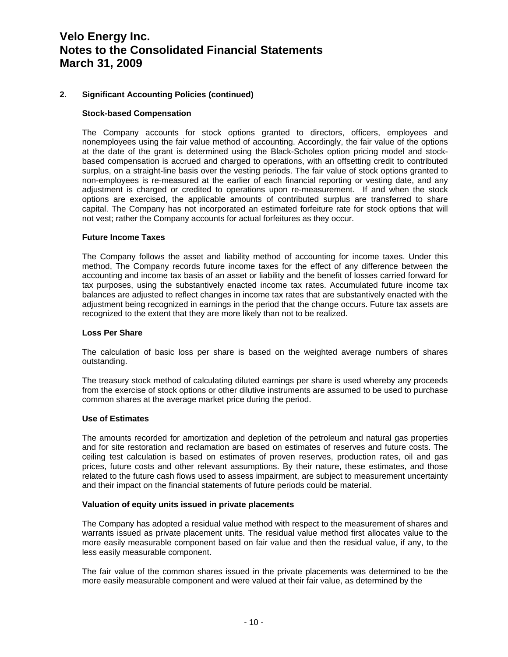#### **2. Significant Accounting Policies (continued)**

#### **Stock-based Compensation**

The Company accounts for stock options granted to directors, officers, employees and nonemployees using the fair value method of accounting. Accordingly, the fair value of the options at the date of the grant is determined using the Black-Scholes option pricing model and stockbased compensation is accrued and charged to operations, with an offsetting credit to contributed surplus, on a straight-line basis over the vesting periods. The fair value of stock options granted to non-employees is re-measured at the earlier of each financial reporting or vesting date, and any adjustment is charged or credited to operations upon re-measurement. If and when the stock options are exercised, the applicable amounts of contributed surplus are transferred to share capital. The Company has not incorporated an estimated forfeiture rate for stock options that will not vest; rather the Company accounts for actual forfeitures as they occur.

#### **Future Income Taxes**

The Company follows the asset and liability method of accounting for income taxes. Under this method, The Company records future income taxes for the effect of any difference between the accounting and income tax basis of an asset or liability and the benefit of losses carried forward for tax purposes, using the substantively enacted income tax rates. Accumulated future income tax balances are adjusted to reflect changes in income tax rates that are substantively enacted with the adjustment being recognized in earnings in the period that the change occurs. Future tax assets are recognized to the extent that they are more likely than not to be realized.

#### **Loss Per Share**

The calculation of basic loss per share is based on the weighted average numbers of shares outstanding.

The treasury stock method of calculating diluted earnings per share is used whereby any proceeds from the exercise of stock options or other dilutive instruments are assumed to be used to purchase common shares at the average market price during the period.

#### **Use of Estimates**

The amounts recorded for amortization and depletion of the petroleum and natural gas properties and for site restoration and reclamation are based on estimates of reserves and future costs. The ceiling test calculation is based on estimates of proven reserves, production rates, oil and gas prices, future costs and other relevant assumptions. By their nature, these estimates, and those related to the future cash flows used to assess impairment, are subject to measurement uncertainty and their impact on the financial statements of future periods could be material.

#### **Valuation of equity units issued in private placements**

The Company has adopted a residual value method with respect to the measurement of shares and warrants issued as private placement units. The residual value method first allocates value to the more easily measurable component based on fair value and then the residual value, if any, to the less easily measurable component.

The fair value of the common shares issued in the private placements was determined to be the more easily measurable component and were valued at their fair value, as determined by the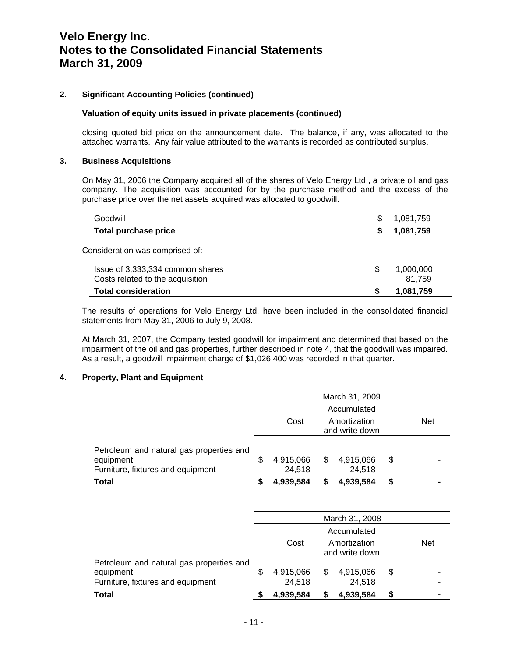#### **2. Significant Accounting Policies (continued)**

#### **Valuation of equity units issued in private placements (continued)**

closing quoted bid price on the announcement date. The balance, if any, was allocated to the attached warrants. Any fair value attributed to the warrants is recorded as contributed surplus.

#### **3. Business Acquisitions**

On May 31, 2006 the Company acquired all of the shares of Velo Energy Ltd., a private oil and gas company. The acquisition was accounted for by the purchase method and the excess of the purchase price over the net assets acquired was allocated to goodwill.

| Goodwill                         | S   | 1,081,759 |
|----------------------------------|-----|-----------|
| Total purchase price             |     | 1,081,759 |
| Consideration was comprised of:  |     |           |
| Issue of 3,333,334 common shares | \$. | 1,000,000 |
| Costs related to the acquisition |     | 81.759    |
| <b>Total consideration</b>       |     | 1,081,759 |

The results of operations for Velo Energy Ltd. have been included in the consolidated financial statements from May 31, 2006 to July 9, 2008.

At March 31, 2007, the Company tested goodwill for impairment and determined that based on the impairment of the oil and gas properties, further described in note 4, that the goodwill was impaired. As a result, a goodwill impairment charge of \$1,026,400 was recorded in that quarter.

#### **4. Property, Plant and Equipment**

|                                                                                            | March 31, 2009 |                     |    |                                |    |            |
|--------------------------------------------------------------------------------------------|----------------|---------------------|----|--------------------------------|----|------------|
|                                                                                            |                |                     |    | Accumulated                    |    |            |
|                                                                                            |                | Cost                |    | Amortization<br>and write down |    | <b>Net</b> |
| Petroleum and natural gas properties and<br>equipment<br>Furniture, fixtures and equipment |                | 4,915,066<br>24,518 | \$ | 4,915,066<br>24,518            | \$ |            |
| <b>Total</b>                                                                               |                | 4,939,584           |    | 4,939,584                      | \$ |            |
|                                                                                            |                |                     |    |                                |    |            |

|                                                       | March 31, 2008 |           |  |                                |    |        |
|-------------------------------------------------------|----------------|-----------|--|--------------------------------|----|--------|
|                                                       |                |           |  | Accumulated                    |    |        |
|                                                       |                | Cost      |  | Amortization<br>and write down |    | Net    |
| Petroleum and natural gas properties and<br>equipment |                | 4,915,066 |  | 4,915,066                      | \$ |        |
| Furniture, fixtures and equipment                     |                | 24,518    |  | 24,518                         |    | ۰<br>۰ |
| <b>Total</b>                                          |                | 4,939,584 |  | 4,939,584                      | S  |        |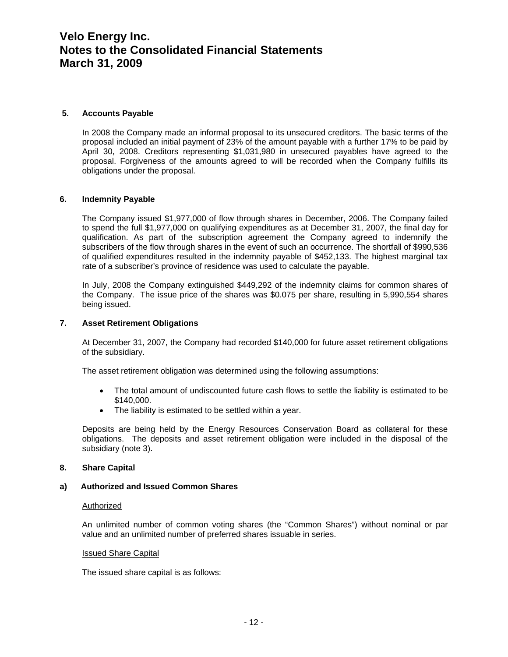#### **5. Accounts Payable**

In 2008 the Company made an informal proposal to its unsecured creditors. The basic terms of the proposal included an initial payment of 23% of the amount payable with a further 17% to be paid by April 30, 2008. Creditors representing \$1,031,980 in unsecured payables have agreed to the proposal. Forgiveness of the amounts agreed to will be recorded when the Company fulfills its obligations under the proposal.

#### **6. Indemnity Payable**

The Company issued \$1,977,000 of flow through shares in December, 2006. The Company failed to spend the full \$1,977,000 on qualifying expenditures as at December 31, 2007, the final day for qualification. As part of the subscription agreement the Company agreed to indemnify the subscribers of the flow through shares in the event of such an occurrence. The shortfall of \$990,536 of qualified expenditures resulted in the indemnity payable of \$452,133. The highest marginal tax rate of a subscriber's province of residence was used to calculate the payable.

In July, 2008 the Company extinguished \$449,292 of the indemnity claims for common shares of the Company. The issue price of the shares was \$0.075 per share, resulting in 5,990,554 shares being issued.

#### **7. Asset Retirement Obligations**

At December 31, 2007, the Company had recorded \$140,000 for future asset retirement obligations of the subsidiary.

The asset retirement obligation was determined using the following assumptions:

- The total amount of undiscounted future cash flows to settle the liability is estimated to be \$140,000.
- The liability is estimated to be settled within a year.

Deposits are being held by the Energy Resources Conservation Board as collateral for these obligations. The deposits and asset retirement obligation were included in the disposal of the subsidiary (note 3).

#### **8. Share Capital**

#### **a) Authorized and Issued Common Shares**

#### Authorized

An unlimited number of common voting shares (the "Common Shares") without nominal or par value and an unlimited number of preferred shares issuable in series.

#### Issued Share Capital

The issued share capital is as follows: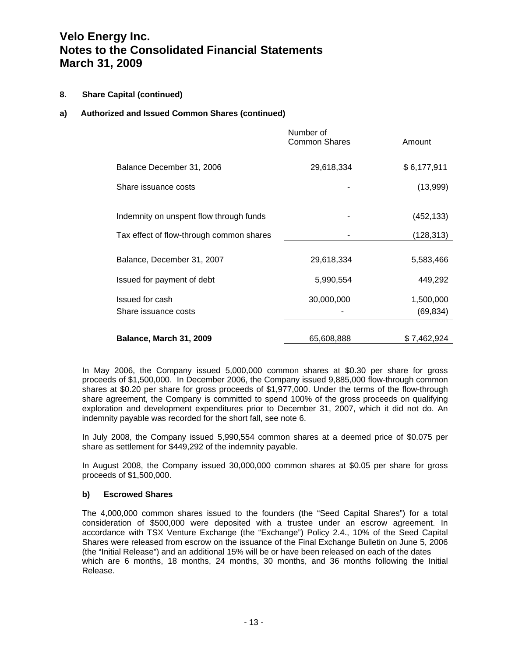### **8. Share Capital (continued)**

#### **a) Authorized and Issued Common Shares (continued)**

|                                          | Number of<br>Common Shares | Amount      |
|------------------------------------------|----------------------------|-------------|
| Balance December 31, 2006                | 29,618,334                 | \$6,177,911 |
| Share issuance costs                     |                            | (13,999)    |
| Indemnity on unspent flow through funds  |                            | (452, 133)  |
| Tax effect of flow-through common shares |                            | (128,313)   |
| Balance, December 31, 2007               | 29,618,334                 | 5,583,466   |
| Issued for payment of debt               | 5,990,554                  | 449,292     |
| Issued for cash                          | 30,000,000                 | 1,500,000   |
| Share issuance costs                     |                            | (69, 834)   |
| <b>Balance, March 31, 2009</b>           | 65,608,888                 | \$7,462,924 |

In May 2006, the Company issued 5,000,000 common shares at \$0.30 per share for gross proceeds of \$1,500,000. In December 2006, the Company issued 9,885,000 flow-through common shares at \$0.20 per share for gross proceeds of \$1,977,000. Under the terms of the flow-through share agreement, the Company is committed to spend 100% of the gross proceeds on qualifying exploration and development expenditures prior to December 31, 2007, which it did not do. An indemnity payable was recorded for the short fall, see note 6.

In July 2008, the Company issued 5,990,554 common shares at a deemed price of \$0.075 per share as settlement for \$449,292 of the indemnity payable.

In August 2008, the Company issued 30,000,000 common shares at \$0.05 per share for gross proceeds of \$1,500,000.

#### **b) Escrowed Shares**

The 4,000,000 common shares issued to the founders (the "Seed Capital Shares") for a total consideration of \$500,000 were deposited with a trustee under an escrow agreement. In accordance with TSX Venture Exchange (the "Exchange") Policy 2.4., 10% of the Seed Capital Shares were released from escrow on the issuance of the Final Exchange Bulletin on June 5, 2006 (the "Initial Release") and an additional 15% will be or have been released on each of the dates which are 6 months, 18 months, 24 months, 30 months, and 36 months following the Initial Release.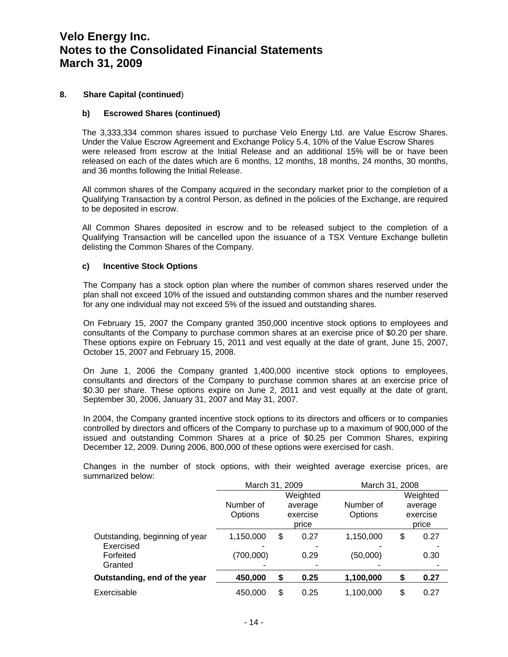#### **8. Share Capital (continued**)

#### **b) Escrowed Shares (continued)**

The 3,333,334 common shares issued to purchase Velo Energy Ltd. are Value Escrow Shares. Under the Value Escrow Agreement and Exchange Policy 5.4, 10% of the Value Escrow Shares were released from escrow at the Initial Release and an additional 15% will be or have been released on each of the dates which are 6 months, 12 months, 18 months, 24 months, 30 months, and 36 months following the Initial Release.

All common shares of the Company acquired in the secondary market prior to the completion of a Qualifying Transaction by a control Person, as defined in the policies of the Exchange, are required to be deposited in escrow.

All Common Shares deposited in escrow and to be released subject to the completion of a Qualifying Transaction will be cancelled upon the issuance of a TSX Venture Exchange bulletin delisting the Common Shares of the Company.

#### **c) Incentive Stock Options**

The Company has a stock option plan where the number of common shares reserved under the plan shall not exceed 10% of the issued and outstanding common shares and the number reserved for any one individual may not exceed 5% of the issued and outstanding shares.

On February 15, 2007 the Company granted 350,000 incentive stock options to employees and consultants of the Company to purchase common shares at an exercise price of \$0.20 per share. These options expire on February 15, 2011 and vest equally at the date of grant, June 15, 2007, October 15, 2007 and February 15, 2008.

On June 1, 2006 the Company granted 1,400,000 incentive stock options to employees, consultants and directors of the Company to purchase common shares at an exercise price of \$0.30 per share. These options expire on June 2, 2011 and vest equally at the date of grant, September 30, 2006, January 31, 2007 and May 31, 2007.

In 2004, the Company granted incentive stock options to its directors and officers or to companies controlled by directors and officers of the Company to purchase up to a maximum of 900,000 of the issued and outstanding Common Shares at a price of \$0.25 per Common Shares, expiring December 12, 2009. During 2006, 800,000 of these options were exercised for cash.

Changes in the number of stock options, with their weighted average exercise prices, are summarized below:

|                                             | March 31, 2009 |    |          | March 31, 2008 |         |          |  |
|---------------------------------------------|----------------|----|----------|----------------|---------|----------|--|
|                                             | Weighted       |    |          |                |         | Weighted |  |
|                                             | Number of      |    | average  | Number of      | average |          |  |
|                                             | Options        |    | exercise | Options        |         | exercise |  |
|                                             | price          |    |          |                | price   |          |  |
| Outstanding, beginning of year<br>Exercised | 1,150,000      | \$ | 0.27     | 1,150,000      | \$      | 0.27     |  |
| Forfeited                                   | (700,000)      |    | 0.29     | (50,000)       |         | 0.30     |  |
| Granted                                     |                |    |          |                |         |          |  |
| Outstanding, end of the year                | 450,000        | \$ | 0.25     | 1,100,000      | \$      | 0.27     |  |
| Exercisable                                 | 450.000        | \$ | 0.25     | 1,100,000      | \$      | 0.27     |  |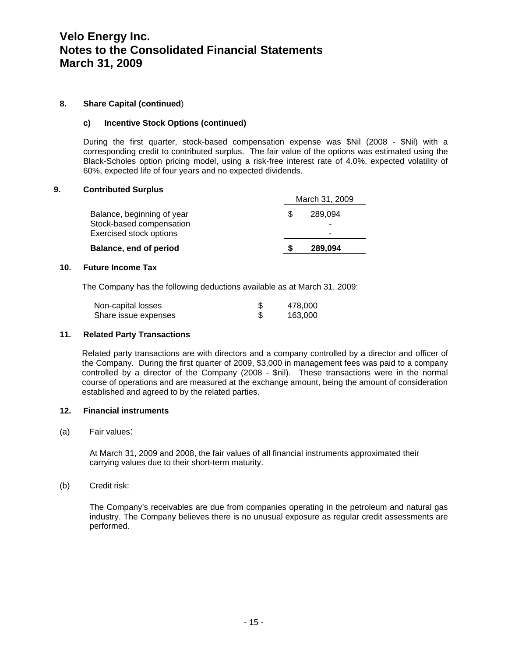#### **8. Share Capital (continued**)

#### **c) Incentive Stock Options (continued)**

During the first quarter, stock-based compensation expense was \$Nil (2008 - \$Nil) with a corresponding credit to contributed surplus. The fair value of the options was estimated using the Black-Scholes option pricing model, using a risk-free interest rate of 4.0%, expected volatility of 60%, expected life of four years and no expected dividends.

#### **9. Contributed Surplus**

|                                                                                          | March 31, 2009 |                   |  |
|------------------------------------------------------------------------------------------|----------------|-------------------|--|
| Balance, beginning of year<br>Stock-based compensation<br><b>Exercised stock options</b> |                | 289.094<br>-<br>- |  |
| <b>Balance, end of period</b>                                                            |                | 289,094           |  |

#### **10. Future Income Tax**

The Company has the following deductions available as at March 31, 2009:

| Non-capital losses   | 478,000 |
|----------------------|---------|
| Share issue expenses | 163,000 |

#### **11. Related Party Transactions**

Related party transactions are with directors and a company controlled by a director and officer of the Company. During the first quarter of 2009, \$3,000 in management fees was paid to a company controlled by a director of the Company (2008 - \$nil). These transactions were in the normal course of operations and are measured at the exchange amount, being the amount of consideration established and agreed to by the related parties.

#### **12. Financial instruments**

#### (a) Fair values:

At March 31, 2009 and 2008, the fair values of all financial instruments approximated their carrying values due to their short-term maturity.

(b) Credit risk:

The Company's receivables are due from companies operating in the petroleum and natural gas industry. The Company believes there is no unusual exposure as regular credit assessments are performed.